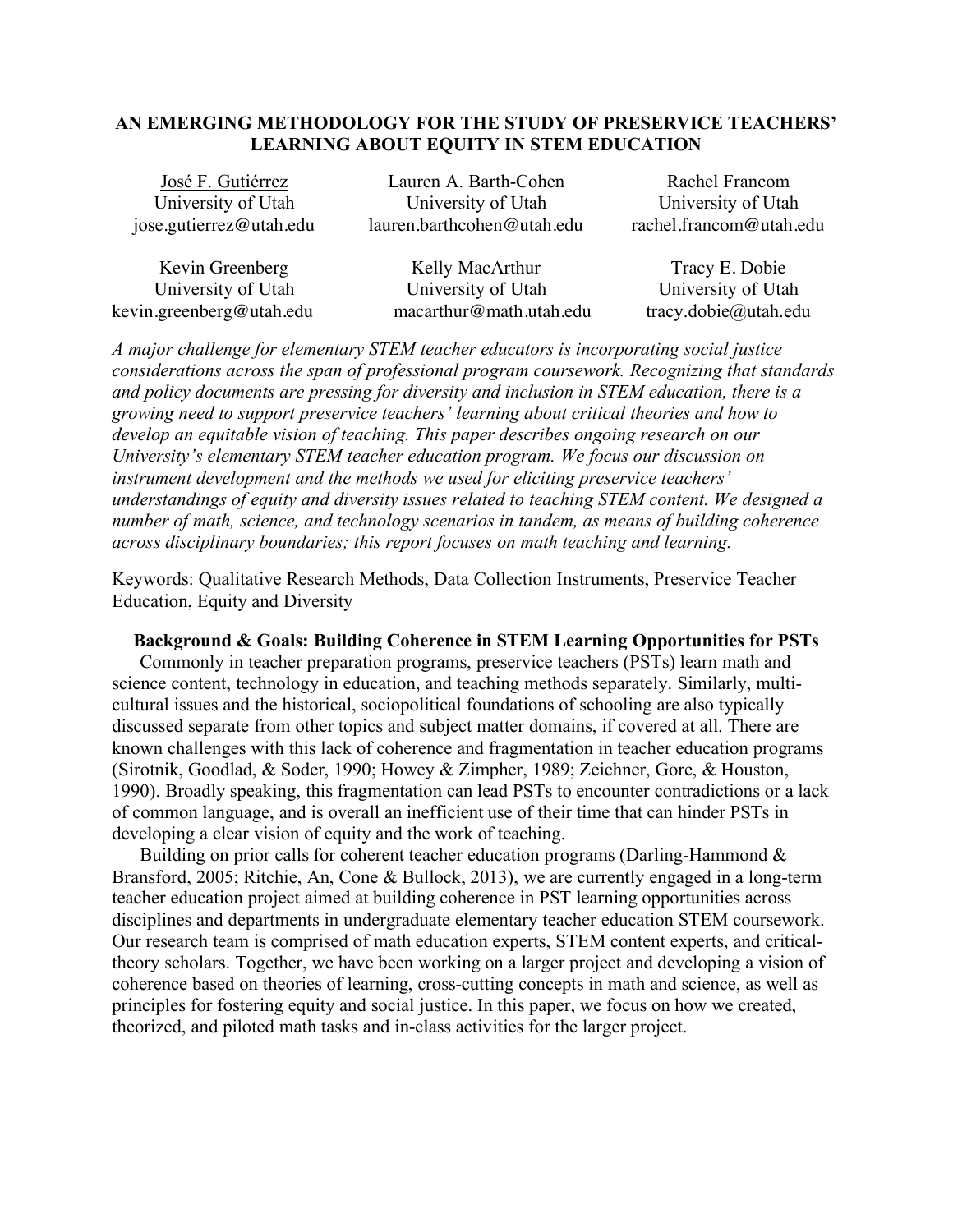## **AN EMERGING METHODOLOGY FOR THE STUDY OF PRESERVICE TEACHERS' LEARNING ABOUT EQUITY IN STEM EDUCATION**

| José F. Gutiérrez                      | Lauren A. Barth-Cohen                                      | Rachel Francom          |
|----------------------------------------|------------------------------------------------------------|-------------------------|
| University of Utah                     | University of Utah                                         | University of Utah      |
| jose.gutierrez@utah.edu                | lauren.barthcohen@utah.edu                                 | rachel.francom@utah.edu |
| $\mathbf{r}$ $\mathbf{r}$ $\mathbf{r}$ | $T \times 11$ $\overline{M}$ $\overline{M}$ $\overline{1}$ | <u>nn</u> 1'<br>m       |

| Kevin Greenberg          | Kelly MacArthur         | Tracy E. Dobie                              |
|--------------------------|-------------------------|---------------------------------------------|
| University of Utah       | University of Utah      | University of Utah                          |
| kevin.greenberg@utah.edu | macarthur@math.utah.edu | $\text{tracy.dobie}(\hat{\omega})$ utah.edu |

*A major challenge for elementary STEM teacher educators is incorporating social justice considerations across the span of professional program coursework. Recognizing that standards and policy documents are pressing for diversity and inclusion in STEM education, there is a growing need to support preservice teachers' learning about critical theories and how to develop an equitable vision of teaching. This paper describes ongoing research on our University's elementary STEM teacher education program. We focus our discussion on instrument development and the methods we used for eliciting preservice teachers' understandings of equity and diversity issues related to teaching STEM content. We designed a number of math, science, and technology scenarios in tandem, as means of building coherence across disciplinary boundaries; this report focuses on math teaching and learning.* 

Keywords: Qualitative Research Methods, Data Collection Instruments, Preservice Teacher Education, Equity and Diversity

### **Background & Goals: Building Coherence in STEM Learning Opportunities for PSTs**

Commonly in teacher preparation programs, preservice teachers (PSTs) learn math and science content, technology in education, and teaching methods separately. Similarly, multicultural issues and the historical, sociopolitical foundations of schooling are also typically discussed separate from other topics and subject matter domains, if covered at all. There are known challenges with this lack of coherence and fragmentation in teacher education programs (Sirotnik, Goodlad, & Soder, 1990; Howey & Zimpher, 1989; Zeichner, Gore, & Houston, 1990). Broadly speaking, this fragmentation can lead PSTs to encounter contradictions or a lack of common language, and is overall an inefficient use of their time that can hinder PSTs in developing a clear vision of equity and the work of teaching.

Building on prior calls for coherent teacher education programs (Darling-Hammond & Bransford, 2005; Ritchie, An, Cone & Bullock, 2013), we are currently engaged in a long-term teacher education project aimed at building coherence in PST learning opportunities across disciplines and departments in undergraduate elementary teacher education STEM coursework. Our research team is comprised of math education experts, STEM content experts, and criticaltheory scholars. Together, we have been working on a larger project and developing a vision of coherence based on theories of learning, cross-cutting concepts in math and science, as well as principles for fostering equity and social justice. In this paper, we focus on how we created, theorized, and piloted math tasks and in-class activities for the larger project.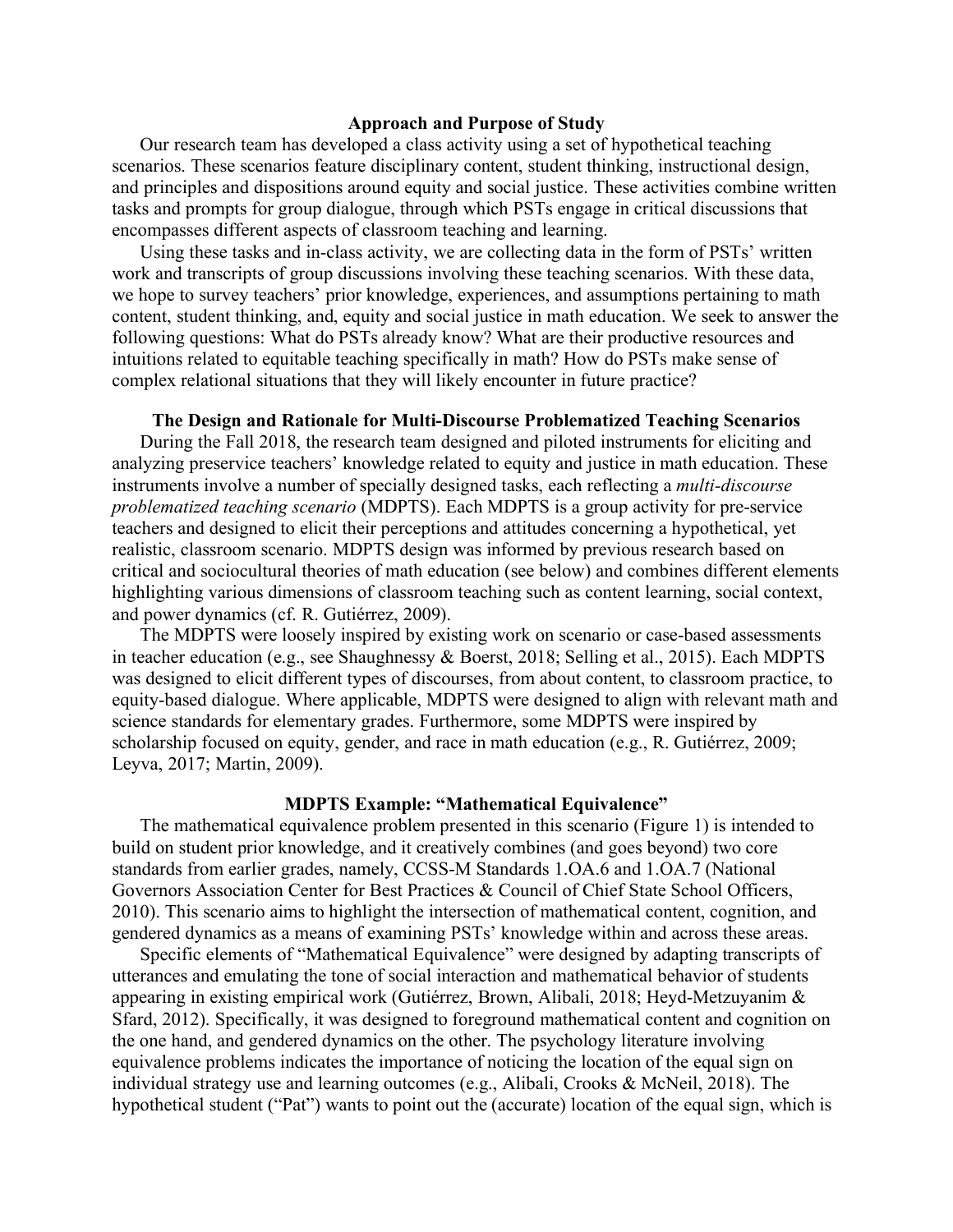### **Approach and Purpose of Study**

Our research team has developed a class activity using a set of hypothetical teaching scenarios. These scenarios feature disciplinary content, student thinking, instructional design, and principles and dispositions around equity and social justice. These activities combine written tasks and prompts for group dialogue, through which PSTs engage in critical discussions that encompasses different aspects of classroom teaching and learning.

Using these tasks and in-class activity, we are collecting data in the form of PSTs' written work and transcripts of group discussions involving these teaching scenarios. With these data, we hope to survey teachers' prior knowledge, experiences, and assumptions pertaining to math content, student thinking, and, equity and social justice in math education. We seek to answer the following questions: What do PSTs already know? What are their productive resources and intuitions related to equitable teaching specifically in math? How do PSTs make sense of complex relational situations that they will likely encounter in future practice?

### **The Design and Rationale for Multi-Discourse Problematized Teaching Scenarios**

During the Fall 2018, the research team designed and piloted instruments for eliciting and analyzing preservice teachers' knowledge related to equity and justice in math education. These instruments involve a number of specially designed tasks, each reflecting a *multi-discourse problematized teaching scenario* (MDPTS). Each MDPTS is a group activity for pre-service teachers and designed to elicit their perceptions and attitudes concerning a hypothetical, yet realistic, classroom scenario. MDPTS design was informed by previous research based on critical and sociocultural theories of math education (see below) and combines different elements highlighting various dimensions of classroom teaching such as content learning, social context, and power dynamics (cf. R. Gutiérrez, 2009).

The MDPTS were loosely inspired by existing work on scenario or case-based assessments in teacher education (e.g., see Shaughnessy & Boerst, 2018; Selling et al., 2015). Each MDPTS was designed to elicit different types of discourses, from about content, to classroom practice, to equity-based dialogue. Where applicable, MDPTS were designed to align with relevant math and science standards for elementary grades. Furthermore, some MDPTS were inspired by scholarship focused on equity, gender, and race in math education (e.g., R. Gutiérrez, 2009; Leyva, 2017; Martin, 2009).

# **MDPTS Example: "Mathematical Equivalence"**

The mathematical equivalence problem presented in this scenario (Figure 1) is intended to build on student prior knowledge, and it creatively combines (and goes beyond) two core standards from earlier grades, namely, CCSS-M Standards 1.OA.6 and 1.OA.7 (National Governors Association Center for Best Practices & Council of Chief State School Officers, 2010). This scenario aims to highlight the intersection of mathematical content, cognition, and gendered dynamics as a means of examining PSTs' knowledge within and across these areas.

Specific elements of "Mathematical Equivalence" were designed by adapting transcripts of utterances and emulating the tone of social interaction and mathematical behavior of students appearing in existing empirical work (Gutiérrez, Brown, Alibali, 2018; Heyd-Metzuyanim & Sfard, 2012). Specifically, it was designed to foreground mathematical content and cognition on the one hand, and gendered dynamics on the other. The psychology literature involving equivalence problems indicates the importance of noticing the location of the equal sign on individual strategy use and learning outcomes (e.g., Alibali, Crooks & McNeil, 2018). The hypothetical student ("Pat") wants to point out the (accurate) location of the equal sign, which is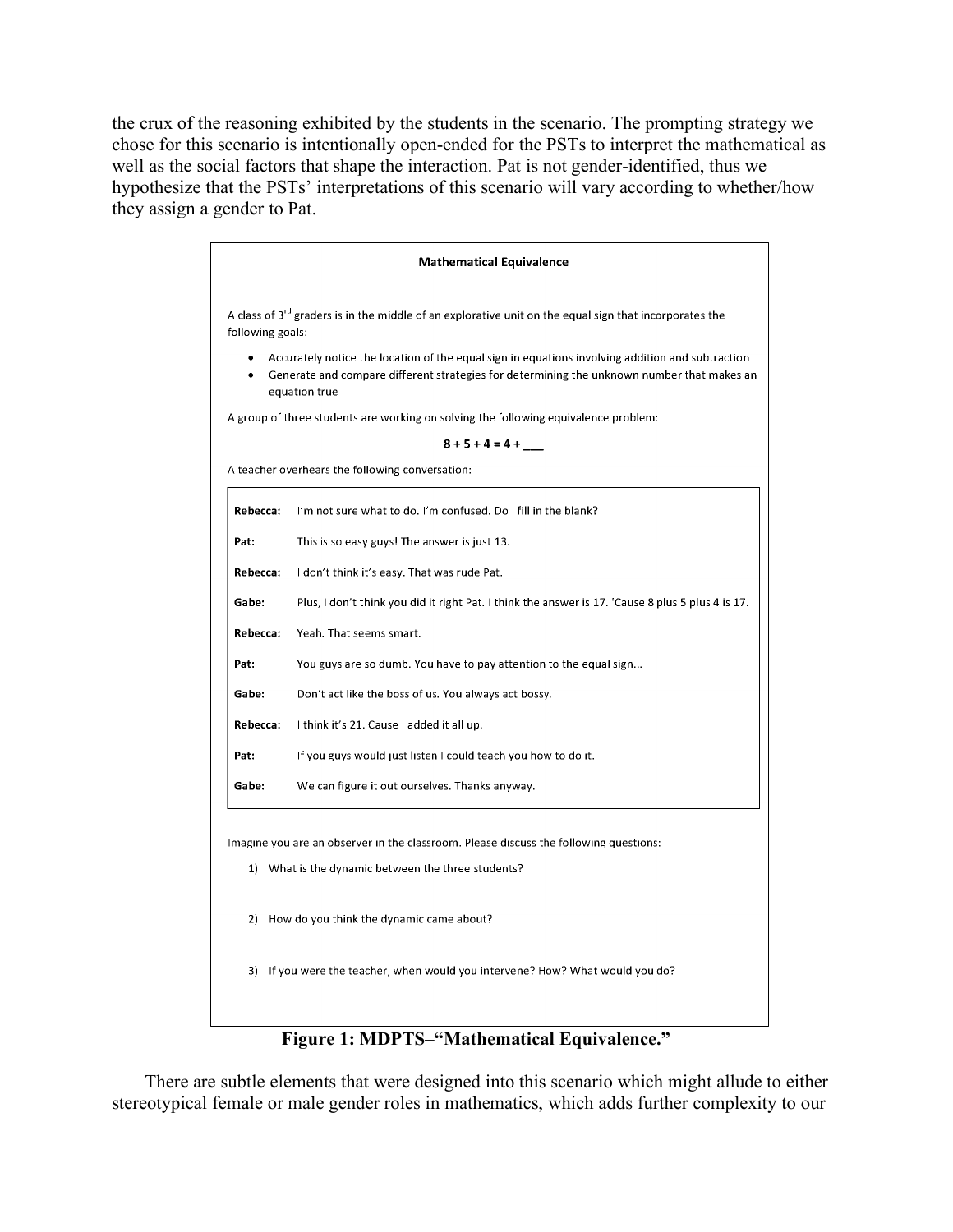the crux of the reasoning exhibited by the students in the scenario. The prompting strategy we chose for this scenario is intentionally open-ended for the PSTs to interpret the mathematical as well as the social factors that shape the interaction. Pat is not gender-identified, thus we hypothesize that the PSTs' interpretations of this scenario will vary according to whether/how they assign a gender to Pat.

| A class of 3 <sup>rd</sup> graders is in the middle of an explorative unit on the equal sign that incorporates the<br>following goals:<br>Accurately notice the location of the equal sign in equations involving addition and subtraction<br>Generate and compare different strategies for determining the unknown number that makes an<br>equation true<br>A group of three students are working on solving the following equivalence problem:<br>$8 + 5 + 4 = 4 +$<br>A teacher overhears the following conversation: |  |
|--------------------------------------------------------------------------------------------------------------------------------------------------------------------------------------------------------------------------------------------------------------------------------------------------------------------------------------------------------------------------------------------------------------------------------------------------------------------------------------------------------------------------|--|
|                                                                                                                                                                                                                                                                                                                                                                                                                                                                                                                          |  |
|                                                                                                                                                                                                                                                                                                                                                                                                                                                                                                                          |  |
|                                                                                                                                                                                                                                                                                                                                                                                                                                                                                                                          |  |
|                                                                                                                                                                                                                                                                                                                                                                                                                                                                                                                          |  |
|                                                                                                                                                                                                                                                                                                                                                                                                                                                                                                                          |  |
| I'm not sure what to do. I'm confused. Do I fill in the blank?                                                                                                                                                                                                                                                                                                                                                                                                                                                           |  |
| This is so easy guys! The answer is just 13.                                                                                                                                                                                                                                                                                                                                                                                                                                                                             |  |
| I don't think it's easy. That was rude Pat.                                                                                                                                                                                                                                                                                                                                                                                                                                                                              |  |
| Plus, I don't think you did it right Pat. I think the answer is 17. 'Cause 8 plus 5 plus 4 is 17.                                                                                                                                                                                                                                                                                                                                                                                                                        |  |
| <b>Rebecca:</b><br>Yeah. That seems smart.                                                                                                                                                                                                                                                                                                                                                                                                                                                                               |  |
| You guys are so dumb. You have to pay attention to the equal sign                                                                                                                                                                                                                                                                                                                                                                                                                                                        |  |
| Don't act like the boss of us. You always act bossy.                                                                                                                                                                                                                                                                                                                                                                                                                                                                     |  |
| Rebecca:<br>I think it's 21. Cause I added it all up.                                                                                                                                                                                                                                                                                                                                                                                                                                                                    |  |
| If you guys would just listen I could teach you how to do it.                                                                                                                                                                                                                                                                                                                                                                                                                                                            |  |
| We can figure it out ourselves. Thanks anyway.                                                                                                                                                                                                                                                                                                                                                                                                                                                                           |  |
| Imagine you are an observer in the classroom. Please discuss the following questions:                                                                                                                                                                                                                                                                                                                                                                                                                                    |  |
| 1) What is the dynamic between the three students?                                                                                                                                                                                                                                                                                                                                                                                                                                                                       |  |
| 2) How do you think the dynamic came about?                                                                                                                                                                                                                                                                                                                                                                                                                                                                              |  |
|                                                                                                                                                                                                                                                                                                                                                                                                                                                                                                                          |  |
|                                                                                                                                                                                                                                                                                                                                                                                                                                                                                                                          |  |

## **Figure 1: MDPTS–"Mathematical Equivalence."**

There are subtle elements that were designed into this scenario which might allude to either stereotypical female or male gender roles in mathematics, which adds further complexity to our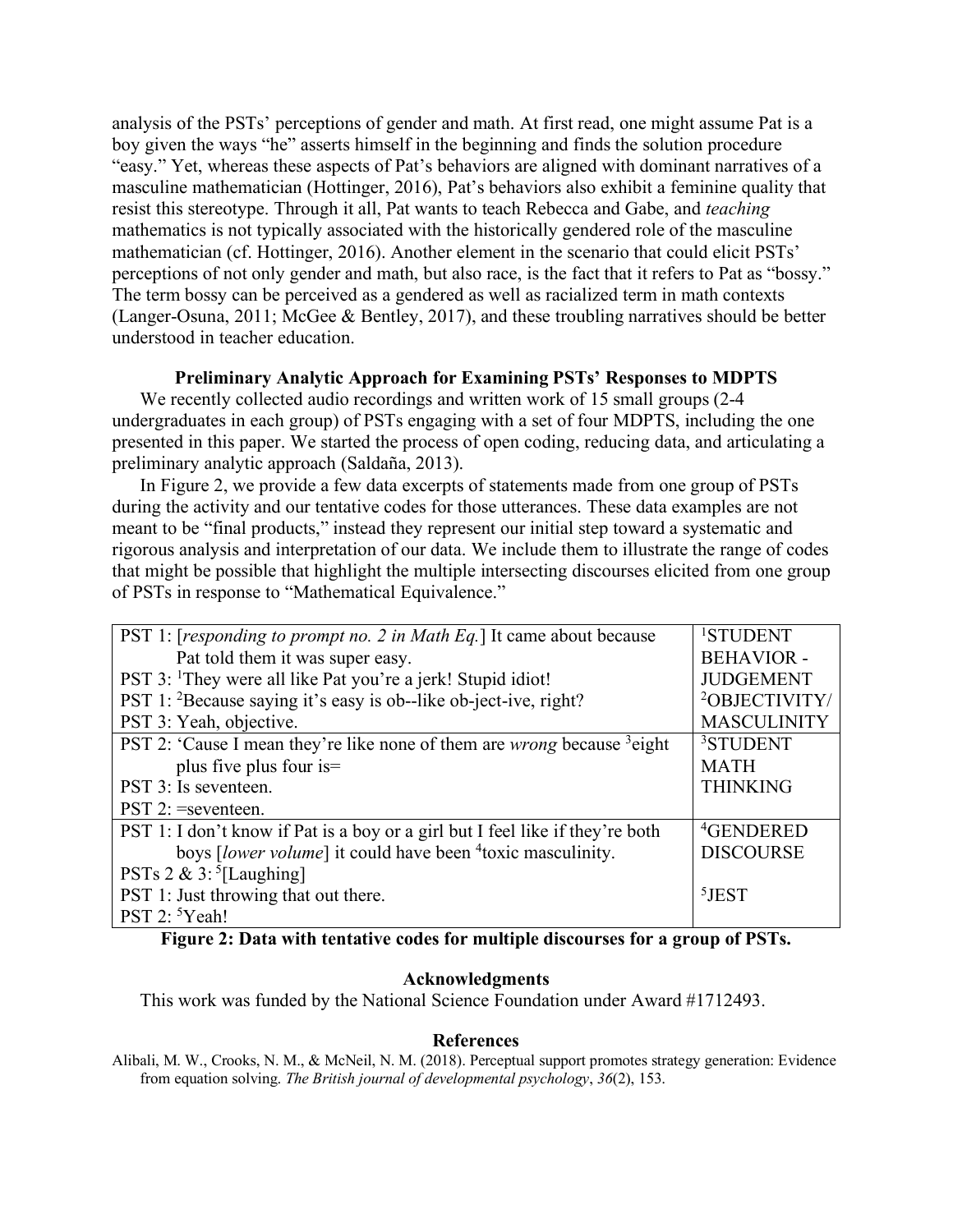analysis of the PSTs' perceptions of gender and math. At first read, one might assume Pat is a boy given the ways "he" asserts himself in the beginning and finds the solution procedure "easy." Yet, whereas these aspects of Pat's behaviors are aligned with dominant narratives of a masculine mathematician (Hottinger, 2016), Pat's behaviors also exhibit a feminine quality that resist this stereotype. Through it all, Pat wants to teach Rebecca and Gabe, and *teaching* mathematics is not typically associated with the historically gendered role of the masculine mathematician (cf. Hottinger, 2016). Another element in the scenario that could elicit PSTs' perceptions of not only gender and math, but also race, is the fact that it refers to Pat as "bossy." The term bossy can be perceived as a gendered as well as racialized term in math contexts (Langer-Osuna, 2011; McGee & Bentley, 2017), and these troubling narratives should be better understood in teacher education.

### **Preliminary Analytic Approach for Examining PSTs' Responses to MDPTS**

We recently collected audio recordings and written work of 15 small groups (2-4 undergraduates in each group) of PSTs engaging with a set of four MDPTS, including the one presented in this paper. We started the process of open coding, reducing data, and articulating a preliminary analytic approach (Saldaña, 2013).

In Figure 2, we provide a few data excerpts of statements made from one group of PSTs during the activity and our tentative codes for those utterances. These data examples are not meant to be "final products," instead they represent our initial step toward a systematic and rigorous analysis and interpretation of our data. We include them to illustrate the range of codes that might be possible that highlight the multiple intersecting discourses elicited from one group of PSTs in response to "Mathematical Equivalence."

| PST 1: [responding to prompt no. 2 in Math Eq.] It came about because                      | <sup>1</sup> STUDENT      |
|--------------------------------------------------------------------------------------------|---------------------------|
| Pat told them it was super easy.                                                           | <b>BEHAVIOR -</b>         |
| PST 3: <sup>1</sup> They were all like Pat you're a jerk! Stupid idiot!                    | <b>JUDGEMENT</b>          |
| PST 1: <sup>2</sup> Because saying it's easy is ob--like ob-ject-ive, right?               | <sup>2</sup> OBJECTIVITY/ |
| PST 3: Yeah, objective.                                                                    | <b>MASCULINITY</b>        |
| PST 2: 'Cause I mean they're like none of them are <i>wrong</i> because <sup>3</sup> eight | <sup>3</sup> STUDENT      |
| plus five plus four is=                                                                    | <b>MATH</b>               |
| PST 3: Is seventeen.                                                                       | <b>THINKING</b>           |
| $PST 2$ : =seventeen.                                                                      |                           |
| PST 1: I don't know if Pat is a boy or a girl but I feel like if they're both              | <sup>4</sup> GENDERED     |
| boys <i>[lower volume]</i> it could have been <sup>4</sup> toxic masculinity.              | <b>DISCOURSE</b>          |
| PSTs $2 \& 3$ : [Laughing]                                                                 |                           |
| PST 1: Just throwing that out there.                                                       | $5$ JEST                  |
| PST 2: <sup>5</sup> Yeah!                                                                  |                           |

**Figure 2: Data with tentative codes for multiple discourses for a group of PSTs.** 

### **Acknowledgments**

This work was funded by the National Science Foundation under Award #1712493.

#### **References**

Alibali, M. W., Crooks, N. M., & McNeil, N. M. (2018). Perceptual support promotes strategy generation: Evidence from equation solving. *The British journal of developmental psychology*, *36*(2), 153.